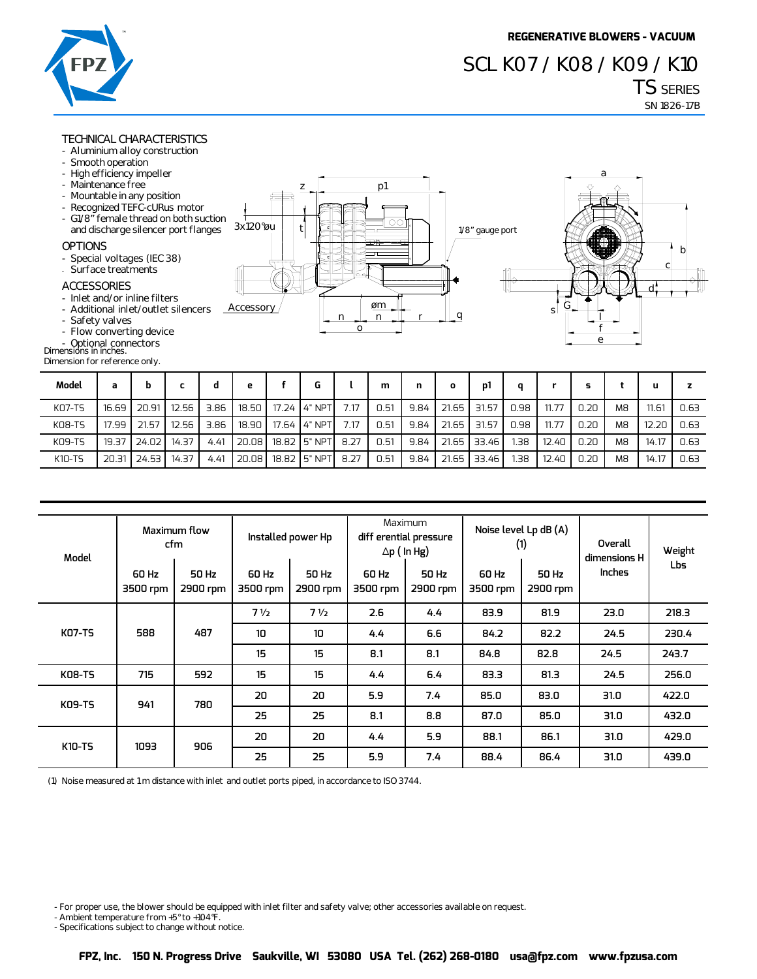**a**

# **TS SERIES SN 1826-17B SCL K07 / K08 / K09 / K10**

## **TECHNICAL CHARACTERISTICS**

- **Aluminium alloy construction**
- **Smooth operation**
- **High efficiency impeller**
- **Maintenance free**
- **Mountable in any position**
- **Recognized TEFC-cURus motor**
- G1/8" female thread on both su and discharge silencer port flan

#### **OPTIONS**

- **Special voltages (IEC 38)**
- **Surface treatments**

### **ACCESSORIES**

- **Inlet and/or inline filters**
- **Additional inlet/outlet silencer**
- **Safety valves**
- **Flow converting device**
- 
- **Dimensions in inches. Optional connectors**

**Dimension for reference only.**

|                |                 | p1                                                |                   | ᠊ᡕ |   |
|----------------|-----------------|---------------------------------------------------|-------------------|----|---|
| ıction<br>nges | 3x120°øu        | ⊐<br>$( \ )$ $( \ )$<br>⊞⊜<br>$\overline{ }$<br>ဗ | 1/8" gauge port   | O, | b |
| rs             | Iļ<br>Accessory | m.<br>øm                                          | خىللك<br>Ħ۲<br>Чh | sΙ | C |
|                |                 | n<br>n<br>о                                       |                   | e  |   |

| Model         | a     | b     |       |      | е     |                               |      | m    | n    | o     | p1    | a    |       |      |                |       |      |
|---------------|-------|-------|-------|------|-------|-------------------------------|------|------|------|-------|-------|------|-------|------|----------------|-------|------|
| <b>KO7-TS</b> | 16.69 | 20.91 | 12.56 | 3.86 |       | 18.50   17.24   4" NPT        | 7.17 | 0.51 | 9.84 | 21.65 | 31.57 | 0.98 | 11.77 | 0.20 | M8             | 11.61 | 0.63 |
| KO8-TS        | 17.99 | 21.57 | 12.56 | 3.86 | 18.90 | 17.64 4" NPT                  | 7.17 | 0.51 | 9.84 | 21.65 | 31.57 | 0.98 | 11.77 | 0.20 | M <sub>8</sub> | 12.20 | 0.63 |
| K09-TS        | 19.37 | 24.02 | 14.37 | 4.41 |       | 20.08   18.82   5" NPT   8.27 |      | 0.51 | 9.84 | 21.65 | 33.46 | 1.38 | 12.40 | 0.20 | M <sub>8</sub> | 14.17 | 0.63 |
| K10-TS        | 20.31 | 24.53 | 14.37 | 4.41 | 20.08 | 18.82 5" NPT                  | 8.27 | 0.51 | 9.84 | 21.65 | 33.46 | 1.38 | 12.40 | 0.20 | M <sub>8</sub> | 14.17 | 0.63 |

| Model         |                   | Maximum flow<br>cfm | Installed power Hp |                   |                   | Maximum<br>diff erential pressure<br>$\Delta p$ (In Hg) |                   | Noise level Lp dB (A)<br>(1) | Overall<br>dimensions H | Weight |     |      |      |      |
|---------------|-------------------|---------------------|--------------------|-------------------|-------------------|---------------------------------------------------------|-------------------|------------------------------|-------------------------|--------|-----|------|------|------|
|               | 60 Hz<br>3500 rpm | 50 Hz<br>2900 rpm   | 60 Hz<br>3500 rpm  | 50 Hz<br>2900 rpm | 60 Hz<br>3500 rpm | 50 Hz<br>2900 rpm                                       | 60 Hz<br>3500 rpm | 50 Hz<br>2900 rpm            | <b>Inches</b>           | Lbs    |     |      |      |      |
|               |                   |                     | 7 <sub>1/2</sub>   | 7 <sub>1</sub>    | 2.6               | 4.4                                                     | 83.9              | 81.9                         | 23.0                    | 218.3  |     |      |      |      |
| <b>KO7-TS</b> | 588               | 487                 | 10                 | 10 <sup>10</sup>  | 4.4               | 6.6                                                     | 84.2              | 82.2                         | 24.5                    | 230.4  |     |      |      |      |
|               |                   |                     | 15                 | 15                | 8.1               | 8.1                                                     | 84.8              | 82.8                         | 24.5                    | 243.7  |     |      |      |      |
| <b>KO8-TS</b> | 715               | 592                 | 15                 | 15                | 4.4               | 6.4                                                     | 83.3              | 81.3                         | 24.5                    | 256.0  |     |      |      |      |
| <b>KO9-TS</b> | 941               | 780                 | 20                 | 20                | 5.9               | 7.4                                                     | 85.0              | 83.0                         | 31.0                    | 422.0  |     |      |      |      |
|               |                   |                     | 25                 | 25                | 8.1               | 8.8                                                     | 87.0              | 85.0                         | 31.0                    | 432.0  |     |      |      |      |
| K10-TS        | 1093              | 906                 | 20                 | 20                | 4.4               | 5.9                                                     | 88.1              | 86.1                         | 31.0                    | 429.0  |     |      |      |      |
|               |                   |                     |                    |                   |                   |                                                         |                   | 25                           | 25                      | 5.9    | 7.4 | 88.4 | 86.4 | 31.0 |

**(1) Noise measured at 1 m distance with inlet and outlet ports piped, in accordance to ISO 3744.** 

- For proper use, the blower should be equipped with inlet filter and safety valve; other accessories available on request.

**- Ambient temperature from +5° to +104°F.** 

**- Specifications subject to change without notice.**